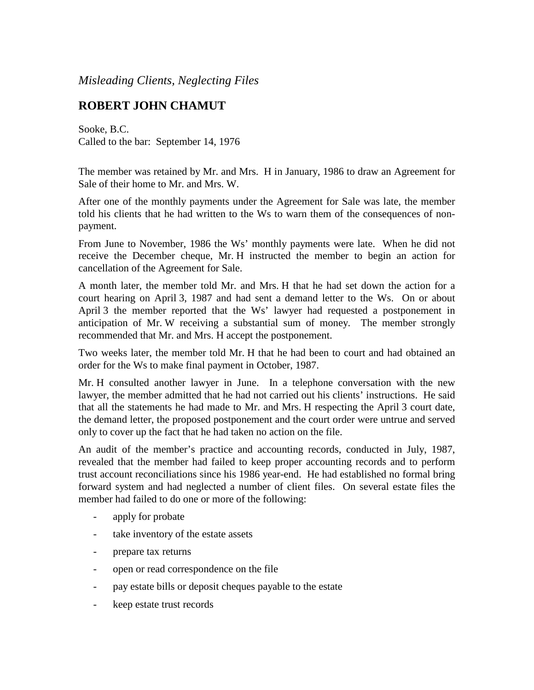*Misleading Clients, Neglecting Files*

## **ROBERT JOHN CHAMUT**

Sooke, B.C. Called to the bar: September 14, 1976

The member was retained by Mr. and Mrs. H in January, 1986 to draw an Agreement for Sale of their home to Mr. and Mrs. W.

After one of the monthly payments under the Agreement for Sale was late, the member told his clients that he had written to the Ws to warn them of the consequences of nonpayment.

From June to November, 1986 the Ws' monthly payments were late. When he did not receive the December cheque, Mr. H instructed the member to begin an action for cancellation of the Agreement for Sale.

A month later, the member told Mr. and Mrs. H that he had set down the action for a court hearing on April 3, 1987 and had sent a demand letter to the Ws. On or about April 3 the member reported that the Ws' lawyer had requested a postponement in anticipation of Mr. W receiving a substantial sum of money. The member strongly recommended that Mr. and Mrs. H accept the postponement.

Two weeks later, the member told Mr. H that he had been to court and had obtained an order for the Ws to make final payment in October, 1987.

Mr. H consulted another lawyer in June. In a telephone conversation with the new lawyer, the member admitted that he had not carried out his clients' instructions. He said that all the statements he had made to Mr. and Mrs. H respecting the April 3 court date, the demand letter, the proposed postponement and the court order were untrue and served only to cover up the fact that he had taken no action on the file.

An audit of the member's practice and accounting records, conducted in July, 1987, revealed that the member had failed to keep proper accounting records and to perform trust account reconciliations since his 1986 year-end. He had established no formal bring forward system and had neglected a number of client files. On several estate files the member had failed to do one or more of the following:

- apply for probate
- take inventory of the estate assets
- prepare tax returns
- open or read correspondence on the file
- pay estate bills or deposit cheques payable to the estate
- keep estate trust records